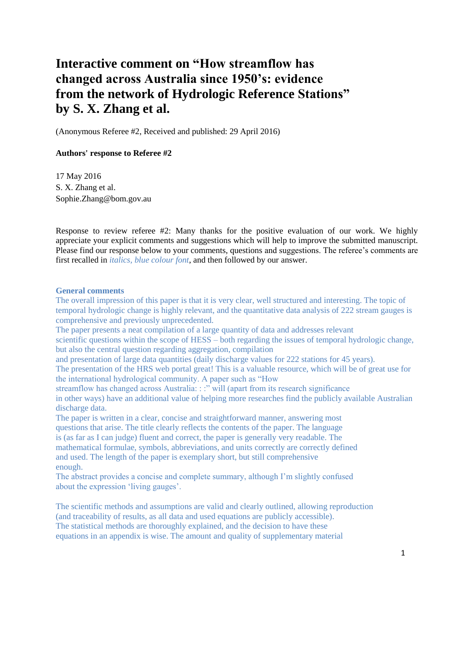# **Interactive comment on "How streamflow has changed across Australia since 1950's: evidence from the network of Hydrologic Reference Stations" by S. X. Zhang et al.**

(Anonymous Referee #2, Received and published: 29 April 2016)

#### **Authors' response to Referee #2**

17 May 2016 S. X. Zhang et al. Sophie.Zhang@bom.gov.au

Response to review referee #2: Many thanks for the positive evaluation of our work. We highly appreciate your explicit comments and suggestions which will help to improve the submitted manuscript. Please find our response below to your comments, questions and suggestions. The referee's comments are first recalled in *italics, blue colour font*, and then followed by our answer.

#### **General comments**

The overall impression of this paper is that it is very clear, well structured and interesting. The topic of temporal hydrologic change is highly relevant, and the quantitative data analysis of 222 stream gauges is comprehensive and previously unprecedented.

The paper presents a neat compilation of a large quantity of data and addresses relevant scientific questions within the scope of HESS – both regarding the issues of temporal hydrologic change, but also the central question regarding aggregation, compilation

and presentation of large data quantities (daily discharge values for 222 stations for 45 years).

The presentation of the HRS web portal great! This is a valuable resource, which will be of great use for the international hydrological community. A paper such as "How

streamflow has changed across Australia: : :" will (apart from its research significance in other ways) have an additional value of helping more researches find the publicly available Australian discharge data.

The paper is written in a clear, concise and straightforward manner, answering most questions that arise. The title clearly reflects the contents of the paper. The language is (as far as I can judge) fluent and correct, the paper is generally very readable. The mathematical formulae, symbols, abbreviations, and units correctly are correctly defined and used. The length of the paper is exemplary short, but still comprehensive enough.

The abstract provides a concise and complete summary, although I'm slightly confused about the expression 'living gauges'.

The scientific methods and assumptions are valid and clearly outlined, allowing reproduction (and traceability of results, as all data and used equations are publicly accessible). The statistical methods are thoroughly explained, and the decision to have these equations in an appendix is wise. The amount and quality of supplementary material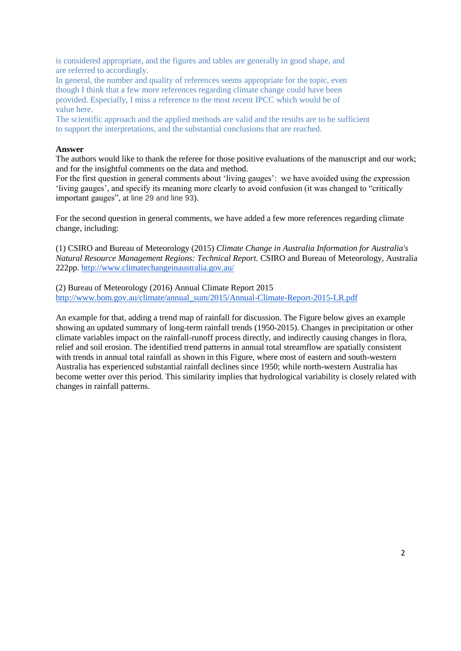is considered appropriate, and the figures and tables are generally in good shape, and are referred to accordingly.

In general, the number and quality of references seems appropriate for the topic, even though I think that a few more references regarding climate change could have been provided. Especially, I miss a reference to the most recent IPCC which would be of value here.

The scientific approach and the applied methods are valid and the results are to be sufficient to support the interpretations, and the substantial conclusions that are reached.

### **Answer**

The authors would like to thank the referee for those positive evaluations of the manuscript and our work; and for the insightful comments on the data and method.

For the first question in general comments about 'living gauges': we have avoided using the expression 'living gauges', and specify its meaning more clearly to avoid confusion (it was changed to "critically important gauges", at line 29 and line 93).

For the second question in general comments, we have added a few more references regarding climate change, including:

(1) CSIRO and Bureau of Meteorology (2015) *Climate Change in Australia Information for Australia's Natural Resource Management Regions: Technical Report.* CSIRO and Bureau of Meteorology, Australia 222pp[.](http://www.climatechangeinaustralia.gov.au/) <http://www.climatechangeinaustralia.gov.au/>

(2) Bureau of Meteorology (2016) Annual Climate Report 2015 [http://www.bom.gov.au/climate/annual\\_sum/2015/Annual-Climate-Report-2015-LR.pdf](http://www.bom.gov.au/climate/annual_sum/2015/Annual-Climate-Report-2015-LR.pdf)

An example for that, adding a trend map of rainfall for discussion. The Figure below gives an example showing an updated summary of long-term rainfall trends (1950-2015). Changes in precipitation or other climate variables impact on the rainfall-runoff process directly, and indirectly causing changes in flora, relief and soil erosion. The identified trend patterns in annual total streamflow are spatially consistent with trends in annual total rainfall as shown in this Figure, where most of eastern and south-western Australia has experienced substantial rainfall declines since 1950; while north-western Australia has become wetter over this period. This similarity implies that hydrological variability is closely related with changes in rainfall patterns.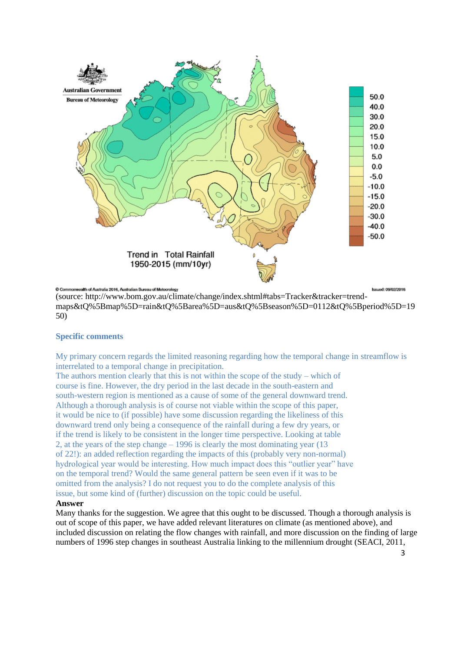

(source: http://www.bom.gov.au/climate/change/index.shtml#tabs=Tracker&tracker=trendmaps&tQ%5Bmap%5D=rain&tQ%5Barea%5D=aus&tQ%5Bseason%5D=0112&tQ%5Bperiod%5D=19 50)

# **Specific comments**

My primary concern regards the limited reasoning regarding how the temporal change in streamflow is interrelated to a temporal change in precipitation.

The authors mention clearly that this is not within the scope of the study – which of course is fine. However, the dry period in the last decade in the south-eastern and south-western region is mentioned as a cause of some of the general downward trend. Although a thorough analysis is of course not viable within the scope of this paper, it would be nice to (if possible) have some discussion regarding the likeliness of this downward trend only being a consequence of the rainfall during a few dry years, or if the trend is likely to be consistent in the longer time perspective. Looking at table 2, at the years of the step change – 1996 is clearly the most dominating year (13 of 22!): an added reflection regarding the impacts of this (probably very non-normal) hydrological year would be interesting. How much impact does this "outlier year" have on the temporal trend? Would the same general pattern be seen even if it was to be omitted from the analysis? I do not request you to do the complete analysis of this issue, but some kind of (further) discussion on the topic could be useful.

#### **Answer**

Many thanks for the suggestion. We agree that this ought to be discussed. Though a thorough analysis is out of scope of this paper, we have added relevant literatures on climate (as mentioned above), and included discussion on relating the flow changes with rainfall, and more discussion on the finding of large numbers of 1996 step changes in southeast Australia linking to the millennium drought (SEACI, 2011,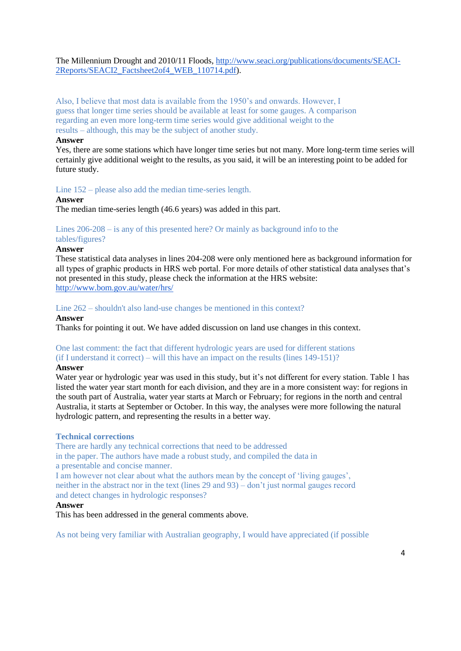# The Millennium Drought and 2010/11 Floods, [http://www.seaci.org/publications/documents/SEACI-](http://www.seaci.org/publications/documents/SEACI-2Reports/SEACI2_Factsheet2of4_WEB_110714.pdf)[2Reports/SEACI2\\_Factsheet2of4\\_WEB\\_110714.pdf\)](http://www.seaci.org/publications/documents/SEACI-2Reports/SEACI2_Factsheet2of4_WEB_110714.pdf).

Also, I believe that most data is available from the 1950's and onwards. However, I guess that longer time series should be available at least for some gauges. A comparison regarding an even more long-term time series would give additional weight to the results – although, this may be the subject of another study.

# **Answer**

Yes, there are some stations which have longer time series but not many. More long-term time series will certainly give additional weight to the results, as you said, it will be an interesting point to be added for future study.

# Line 152 – please also add the median time-series length.

# **Answer**

The median time-series length (46.6 years) was added in this part.

#### Lines 206-208 – is any of this presented here? Or mainly as background info to the tables/figures?

#### **Answer**

These statistical data analyses in lines 204-208 were only mentioned here as background information for all types of graphic products in HRS web portal. For more details of other statistical data analyses that's not presented in this study, please check the information at the HRS website: <http://www.bom.gov.au/water/hrs/>

# Line 262 – shouldn't also land-use changes be mentioned in this context?

### **Answer**

Thanks for pointing it out. We have added discussion on land use changes in this context.

#### One last comment: the fact that different hydrologic years are used for different stations (if I understand it correct) – will this have an impact on the results (lines 149-151)?

# **Answer**

Water year or hydrologic year was used in this study, but it's not different for every station. Table 1 has listed the water year start month for each division, and they are in a more consistent way: for regions in the south part of Australia, water year starts at March or February; for regions in the north and central Australia, it starts at September or October. In this way, the analyses were more following the natural hydrologic pattern, and representing the results in a better way.

# **Technical corrections**

There are hardly any technical corrections that need to be addressed

in the paper. The authors have made a robust study, and compiled the data in a presentable and concise manner.

I am however not clear about what the authors mean by the concept of 'living gauges', neither in the abstract nor in the text (lines 29 and 93) – don't just normal gauges record and detect changes in hydrologic responses?

# **Answer**

This has been addressed in the general comments above.

As not being very familiar with Australian geography, I would have appreciated (if possible